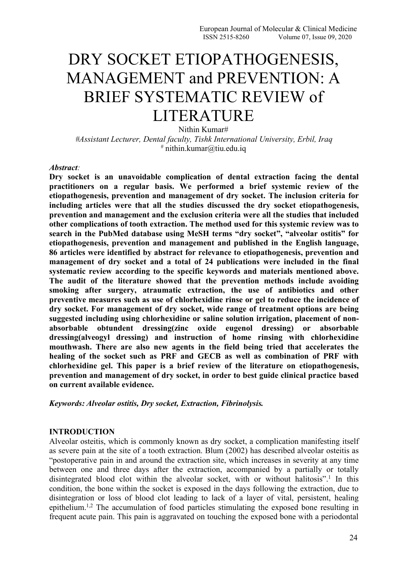# DRY SOCKET ETIOPATHOGENESIS, MANAGEMENT and PREVENTION: A BRIEF SYSTEMATIC REVIEW of LITERATURE

Nithin Kumar# *#Assistant Lecturer, Dental faculty, Tishk International University, Erbil, Iraq* # nithin.kumar@tiu.edu.iq

#### *Abstract:*

**Dry socket is an unavoidable complication of dental extraction facing the dental practitioners on a regular basis. We performed a brief systemic review of the etiopathogenesis, prevention and management of dry socket. The inclusion criteria for including articles were that all the studies discussed the dry socket etiopathogenesis, prevention and management and the exclusion criteria were all the studies that included other complications oftooth extraction. The method used for this systemic review was to search in the PubMed database using MeSH terms "dry socket", "alveolar ostitis" for etiopathogenesis, prevention and management and published in the English language, 86 articles were identified by abstract for relevance to etiopathogenesis, prevention and management of dry socket and a total of 24 publications were included in the final systematic review according to the specific keywords and materials mentioned above. The audit of the literature showed that the prevention methods include avoiding smoking after surgery, atraumatic extraction, the use of antibiotics and other preventive measures such as use of chlorhexidine rinse or gel to reduce the incidence of dry socket. For management of dry socket, wide range of treatment options are being suggested including using chlorhexidine or saline solution irrigation, placement of non absorbable obtundent dressing(zinc oxide eugenol dressing) or absorbable dressing(alveogyl dressing) and instruction of home rinsing with chlorhexidine mouthwash. There are also new agents in the field being tried that accelerates the healing of the socket such as PRF and GECB as well as combination of PRF with chlorhexidine gel. This paper is a brief review of the literature on etiopathogenesis, prevention and management of dry socket, in order to best guide clinical practice based on current available evidence.**

*Keywords: Alveolar ostitis, Dry socket, Extraction, Fibrinolysis.*

### **INTRODUCTION**

Alveolar osteitis, which is commonly known as dry socket, a complication manifesting itself as severe pain at the site of a tooth extraction. Blum (2002) has described alveolar osteitis as "postoperative pain in and around the extraction site, which increases in severity at any time between one and three days after the extraction, accompanied by a partially or totally disintegrated blood clot within the alveolar socket, with or without halitosis".<sup>1</sup> In this condition, the bone within the socket is exposed in the days following the extraction, due to disintegration or loss of blood clot leading to lack of a layer of vital, persistent, healing epithelium.1,2 The accumulation of food particles stimulating the exposed bone resulting in frequent acute pain. This pain is aggravated on touching the exposed bone with a periodontal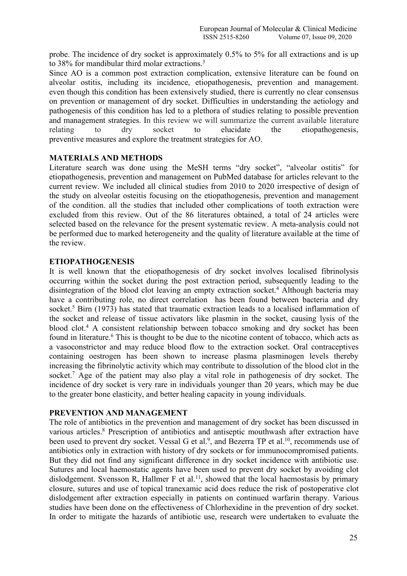probe. The incidence of dry socket is approximately 0.5% to 5% for all extractions and is up to 38% for mandibular third molar extractions.<sup>3</sup>

Since AO is a common post extraction complication, extensive literature can be found on alveolar ostitis, including its incidence, etiopathogenesis, prevention and management. even though this condition has been extensively studied, there is currently no clear consensus on prevention or management of dry socket. Difficulties in understanding the aetiology and pathogenesis of this condition has led to a plethora of studies relating to possible prevention and management strategies. In this review we will summarize the current available literature relating to dry socket to elucidate the etiopathogenesis, preventive measures and explore the treatment strategies for AO.

## **MATERIALS AND METHODS**

Literature search was done using the MeSH terms "dry socket", "alveolar ostitis" for etiopathogenesis, prevention and management on PubMed database for articles relevant to the current review. We included all clinical studies from 2010 to 2020 irrespective of design of the study on alveolar osteitis focusing on the etiopathogenesis, prevention and management of the condition. all the studies that included other complications of tooth extraction were excluded from this review. Out of the 86 literatures obtained, a total of 24 articles were selected based on the relevance for the present systematic review. A meta-analysis could not be performed due to marked heterogeneity and the quality of literature available at the time of the review.

## **ETIOPATHOGENESIS**

It is well known that the etiopathogenesis of dry socket involves localised fibrinolysis occurring within the socket during the post extraction period, subsequently leading to the disintegration of the blood clot leaving an empty extraction socket.<sup>4</sup> Although bacteria may have a contributing role, no direct correlation has been found between bacteria and dry socket.<sup>5</sup> Birn (1973) has stated that traumatic extraction leads to a localised inflammation of the socket and release of tissue activators like plasmin in the socket, causing lysis of the blood clot.<sup>4</sup> A consistent relationship between tobacco smoking and dry socket has been found in literature.<sup>6</sup> This is thought to be due to the nicotine content of tobacco, which acts as a vasoconstrictor and may reduce blood flow to the extraction socket. Oral contraceptives containing oestrogen has been shown to increase plasma plasminogen levels thereby increasing the fibrinolytic activity which may contribute to dissolution of the blood clot in the socket.<sup>7</sup> Age of the patient may also play a vital role in pathogenesis of dry socket. The incidence of dry socket is very rare in individuals younger than 20 years, which may be due to the greater bone elasticity, and better healing capacity in young individuals.

#### **PREVENTION AND MANAGEMENT**

The role of antibiotics in the prevention and management of dry socket has been discussed in various articles.<sup>8</sup> Prescription of antibiotics and antiseptic mouthwash after extraction have been used to prevent dry socket. Vessal G et al.<sup>9</sup>, and Bezerra TP et al.<sup>10</sup>, recommends use of antibiotics only in extraction with history of dry sockets or for immunocompromised patients. But they did not find any significant difference in dry socket incidence with antibiotic use. Sutures and local haemostatic agents have been used to prevent dry socket by avoiding clot dislodgement. Svensson R, Hallmer F et al.<sup>11</sup>, showed that the local haemostasis by primary closure, sutures and use of topical tranexamic acid does reduce the risk of postoperative clot dislodgement after extraction especially in patients on continued warfarin therapy. Various studies have been done on the effectiveness of Chlorhexidine in the prevention of dry socket. In order to mitigate the hazards of antibiotic use, research were undertaken to evaluate the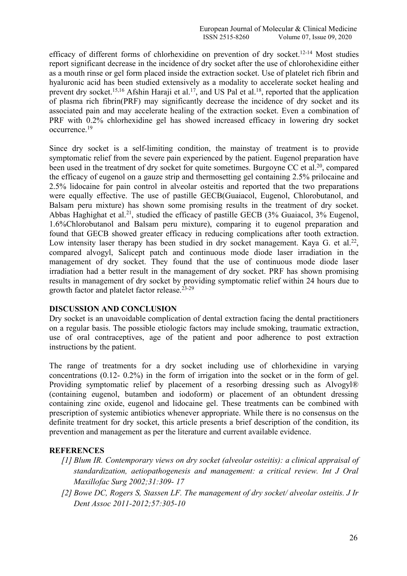efficacy of different forms of chlorhexidine on prevention of dry socket.<sup>12-14</sup> Most studies report significant decrease in the incidence of dry socket after the use of chlorohexidine either as a mouth rinse or gel form placed inside the extraction socket. Use of platelet rich fibrin and hyaluronic acid has been studied extensively as a modality to accelerate socket healing and prevent dry socket.<sup>15,16</sup> Afshin Haraji et al.<sup>17</sup>, and US Pal et al.<sup>18</sup>, reported that the application of plasma rich fibrin(PRF) may significantly decrease the incidence of dry socket and its associated pain and may accelerate healing of the extraction socket. Even a combination of PRF with 0.2% chlorhexidine gel has showed increased efficacy in lowering dry socket occurrence.<sup>19</sup>

Since dry socket is a self-limiting condition, the mainstay of treatment is to provide symptomatic relief from the severe pain experienced by the patient. Eugenol preparation have been used in the treatment of dry socket for quite sometimes. Burgoyne CC et al.<sup>20</sup>, compared the efficacy of eugenol on a gauze strip and thermosetting gel containing 2.5% prilocaine and 2.5% lidocaine for pain control in alveolar osteitis and reported that the two preparations were equally effective. The use of pastille GECB(Guaiacol, Eugenol, Chlorobutanol, and Balsam peru mixture) has shown some promising results in the treatment of dry socket. Abbas Haghighat et al.<sup>21</sup>, studied the efficacy of pastille GECB (3% Guaiacol, 3% Eugenol, 1.6%Chlorobutanol and Balsam peru mixture), comparing it to eugenol preparation and found that GECB showed greater efficacy in reducing complications after tooth extraction. Low intensity laser therapy has been studied in dry socket management. Kaya G. et al.<sup>22</sup>, compared alvogyl, Salicept patch and continuous mode diode laser irradiation in the management of dry socket. They found that the use of continuous mode diode laser irradiation had a better result in the management of dry socket. PRF has shown promising results in management of dry socket by providing symptomatic relief within 24 hours due to growth factor and platelet factor release.23-29

# **DISCUSSION AND CONCLUSION**

Dry socket is an unavoidable complication of dental extraction facing the dental practitioners on a regular basis. The possible etiologic factors may include smoking, traumatic extraction, use of oral contraceptives, age of the patient and poor adherence to post extraction instructions by the patient.

The range of treatments for a dry socket including use of chlorhexidine in varying concentrations (0.12- 0.2%) in the form of irrigation into the socket or in the form of gel. Providing symptomatic relief by placement of a resorbing dressing such as Alvogyl® (containing eugenol, butamben and iodoform) or placement of an obtundent dressing containing zinc oxide, eugenol and lidocaine gel. These treatments can be combined with prescription of systemic antibiotics whenever appropriate. While there is no consensus on the definite treatment for dry socket, this article presents a brief description of the condition, its prevention and management as per the literature and current available evidence.

# **REFERENCES**

- *[1] Blum IR. Contemporary views on dry socket (alveolar osteitis): a clinical appraisal of standardization, aetiopathogenesis and management: a critical review. Int J Oral Maxillofac Surg 2002;31:309- 17*
- *[2] Bowe DC, Rogers S, Stassen LF. The management of dry socket/ alveolar osteitis. J Ir Dent Assoc 2011-2012;57:305-10*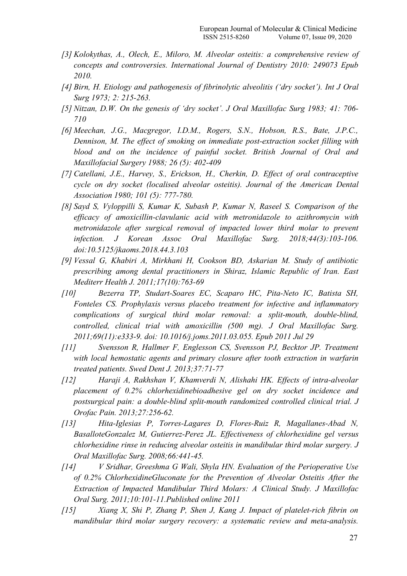- *[3] Kolokythas, A., Olech, E., Miloro, M. Alveolar osteitis: a comprehensive review of concepts and controversies. International Journal of Dentistry 2010: 249073 Epub 2010.*
- *[4] Birn, H. Etiology and pathogenesis of fibrinolytic alveolitis ('dry socket'). Int J Oral Surg 1973; 2: 215-263.*
- *[5] Nitzan, D.W. On the genesis of 'dry socket'. J Oral Maxillofac Surg 1983; 41: 706- 710*
- *[6] Meechan, J.G., Macgregor, I.D.M., Rogers, S.N., Hobson, R.S., Bate, J.P.C., Dennison, M. The ef ect of smoking on immediate post-extraction socket filling with blood and on the incidence of painful socket. British Journal of Oral and Maxillofacial Surgery 1988; 26 (5): 402-409*
- *[7] Catellani, J.E., Harvey, S., Erickson, H., Cherkin, D. Ef ect of oral contraceptive cycle on dry socket (localised alveolar osteitis). Journal of the American Dental Association 1980; 101 (5): 777-780.*
- *[8] Sayd S, Vyloppilli S, Kumar K, Subash P, Kumar N, Raseel S. Comparison of the ef icacy of amoxicillin-clavulanic acid with metronidazole to azithromycin with metronidazole after surgical removal of impacted lower third molar to prevent infection. J Korean Assoc OralMaxillofac Surg. 2018;44(3):103-106. doi:10.5125/jkaoms.2018.44.3.103*
- *[9] Vessal G, Khabiri A, Mirkhani H, Cookson BD, Askarian M. Study of antibiotic prescribing among dental practitioners in Shiraz, Islamic Republic of Iran. East Mediterr Health J. 2011;17(10):763-69*
- *[10] Bezerra TP, Studart-Soares EC, Scaparo HC, Pita-Neto IC, Batista SH, Fonteles CS. Prophylaxis versus placebo treatment for infective and inflammatory complications of surgical third molar removal: a split-mouth, double-blind, controlled, clinical trial with amoxicillin (500 mg). J Oral Maxillofac Surg. 2011;69(11):e333-9. doi: 10.1016/j.joms.2011.03.055. Epub 2011 Jul 29*
- *[11] Svensson R, Hallmer F, Englesson CS, Svensson PJ, Becktor JP. Treatment with local hemostatic agents and primary closure after tooth extraction in warfarin treated patients. Swed Dent J. 2013;37:71-77*
- *[12] Haraji A, Rakhshan V, Khamverdi N, Alishahi HK. Ef ects of intra-alveolar placement of 0.2% chlorhexidinebioadhesive gel on dry socketincidence and postsurgical pain: a double-blind split-mouth randomized controlled clinical trial. J Orofac Pain. 2013;27:256-62.*
- *[13] Hita-Iglesias P, Torres-Lagares D, Flores-Ruiz R, Magallanes-Abad N, BasalloteGonzalez M, Gutierrez-Perez JL. Ef ectiveness of chlorhexidine gel versus chlorhexidine rinse in reducing alveolar osteitis in mandibular third molar surgery. J Oral Maxillofac Surg. 2008;66:441-45.*
- *[14] V Sridhar, Greeshma G Wali, Shyla HN. Evaluation of the Perioperative Use of 0.2% ChlorhexidineGluconate for the Prevention of Alveolar Osteitis After the Extraction of Impacted Mandibular Third Molars: A Clinical Study. J Maxillofac Oral Surg. 2011;10:101-11.Published online 2011*
- *[15] Xiang X, Shi P, Zhang P, Shen J, Kang J.Impactof platelet-rich fibrin on mandibular third molar surgery recovery: a systematic review and meta-analysis.*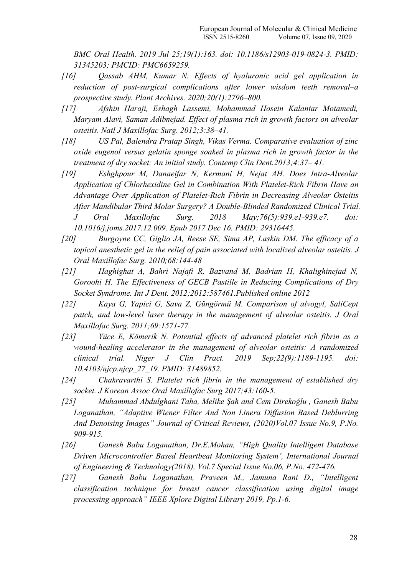*BMC Oral Health. 2019 Jul 25;19(1):163. doi: 10.1186/s12903-019-0824-3. PMID: 31345203; PMCID: PMC6659259.*

- *[16] Qassab AHM, Kumar N. Ef ects of hyaluronic acid gel application in reduction of post-surgical complications after lower wisdom teeth removal–a prospective study. Plant Archives. 2020;20(1):2796–800.*
- *[17] Afshin Haraji, Eshagh Lassemi, Mohammad Hosein Kalantar Motamedi, Maryam Alavi, Saman Adibnejad. Ef ect of plasma rich in growth factors on alveolar osteitis. Natl J Maxillofac Surg. 2012;3:38–41.*
- *[18] US Pal, Balendra Pratap Singh, Vikas Verma. Comparative evaluation of zinc oxide eugenol versus gelatin sponge soaked in plasma rich in growth factor in the treatment of dry socket: An initial study. Contemp Clin Dent.2013;4:37– 41.*
- *[19] Eshghpour M, Danaeifar N, Kermani H, Nejat AH. Does Intra-Alveolar Application of Chlorhexidine Gel in Combination With Platelet-Rich Fibrin Have an Advantage Over Application of Platelet-Rich Fibrin in Decreasing Alveolar Osteitis After Mandibular Third Molar Surgery? A Double-Blinded Randomized Clinical Trial. J Oral Maxillofac Surg. 2018 May;76(5):939.e1-939.e7. doi: 10.1016/j.joms.2017.12.009. Epub 2017 Dec 16. PMID: 29316445.*
- *[20] Burgoyne CC, Giglio JA, Reese SE, Sima AP, Laskin DM. The ef icacy of a topical anesthetic gel in the relief of pain associated with localized alveolar osteitis. J Oral Maxillofac Surg. 2010;68:144-48*
- *[21] Haghighat A, Bahri Najafi R, Bazvand M, Badrian H, Khalighinejad N, Goroohi H. The Ef ectiveness of GECB Pastille in Reducing Complications of Dry Socket Syndrome. Int J Dent. 2012;2012:587461.Published online 2012*
- *[22] Kaya G, Yapici G, Sava Z, Güngörmü M. Comparison of alvogyl, SaliCept patch, and low-level laser therapy in the management of alveolar osteitis. J Oral Maxillofac Surg. 2011;69:1571-77.*
- *[23] Yüce E, Kömerik N. Potential ef ects of advanced platelet rich fibrin as a wound-healing accelerator in the management of alveolar osteitis: A randomized clinical trial. Niger J Clin Pract. 2019 Sep;22(9):1189-1195. doi: 10.4103/njcp.njcp\_27\_19. PMID: 31489852.*
- *[24] Chakravarthi S. Platelet rich fibrin in the management of established dry socket. J Korean Assoc Oral Maxillofac Surg 2017;43:160-5.*
- *[25] Muhammad Abdulghani Taha, Melike Şah and Cem Direkoğlu , Ganesh Babu Loganathan, "Adaptive Wiener Filter And Non Linera Dif usion Based Deblurring And Denoising Images" Journal of Critical Reviews, (2020)Vol.07 Issue No.9, P.No. 909-915.*
- *[26] Ganesh Babu Loganathan, Dr.E.Mohan, "High Quality Intelligent Database Driven Microcontroller Based Heartbeat Monitoring System', International Journal of Engineering & Technology(2018), Vol.7 Special Issue No.06, P.No. 472-476.*
- *[27] Ganesh Babu Loganathan, Praveen M., Jamuna Rani D., "Intelligent classification technique for breast cancer classification using digital image processing approach" IEEE Xplore DigitalLibrary 2019, Pp.1-6.*